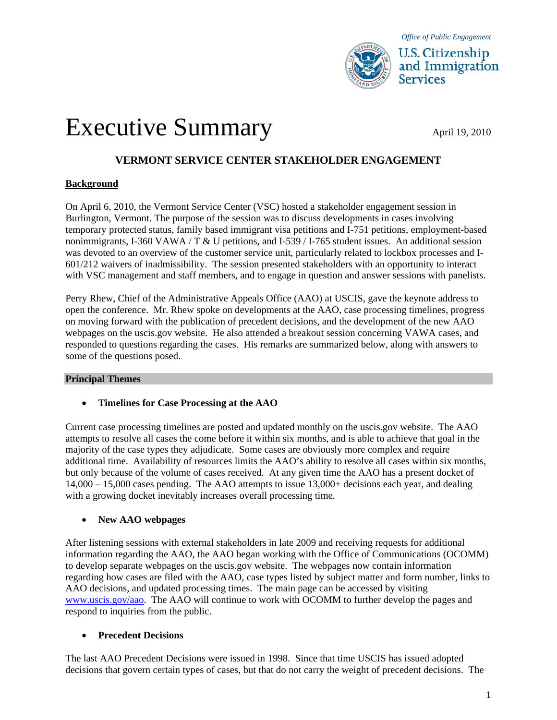

# Executive Summary April 19, 2010

# **VERMONT SERVICE CENTER STAKEHOLDER ENGAGEMENT**

# **Background**

On April 6, 2010, the Vermont Service Center (VSC) hosted a stakeholder engagement session in Burlington, Vermont. The purpose of the session was to discuss developments in cases involving temporary protected status, family based immigrant visa petitions and I-751 petitions, employment-based nonimmigrants, I-360 VAWA / T  $&$  U petitions, and I-539 / I-765 student issues. An additional session was devoted to an overview of the customer service unit, particularly related to lockbox processes and I-601/212 waivers of inadmissibility. The session presented stakeholders with an opportunity to interact with VSC management and staff members, and to engage in question and answer sessions with panelists.

Perry Rhew, Chief of the Administrative Appeals Office (AAO) at USCIS, gave the keynote address to open the conference. Mr. Rhew spoke on developments at the AAO, case processing timelines, progress on moving forward with the publication of precedent decisions, and the development of the new AAO webpages on the uscis.gov website. He also attended a breakout session concerning VAWA cases, and responded to questions regarding the cases. His remarks are summarized below, along with answers to some of the questions posed.

#### **Principal Themes**

#### **Timelines for Case Processing at the AAO**

Current case processing timelines are posted and updated monthly on the uscis.gov website. The AAO attempts to resolve all cases the come before it within six months, and is able to achieve that goal in the majority of the case types they adjudicate. Some cases are obviously more complex and require additional time. Availability of resources limits the AAO's ability to resolve all cases within six months, but only because of the volume of cases received. At any given time the AAO has a present docket of 14,000 – 15,000 cases pending. The AAO attempts to issue 13,000+ decisions each year, and dealing with a growing docket inevitably increases overall processing time.

# **New AAO webpages**

After listening sessions with external stakeholders in late 2009 and receiving requests for additional information regarding the AAO, the AAO began working with the Office of Communications (OCOMM) to develop separate webpages on the uscis.gov website. The webpages now contain information regarding how cases are filed with the AAO, case types listed by subject matter and form number, links to AAO decisions, and updated processing times. The main page can be accessed by visiting [www.uscis.gov/aao](http://www.uscis.gov/aao). The AAO will continue to work with OCOMM to further develop the pages and respond to inquiries from the public.

# **Precedent Decisions**

The last AAO Precedent Decisions were issued in 1998. Since that time USCIS has issued adopted decisions that govern certain types of cases, but that do not carry the weight of precedent decisions. The